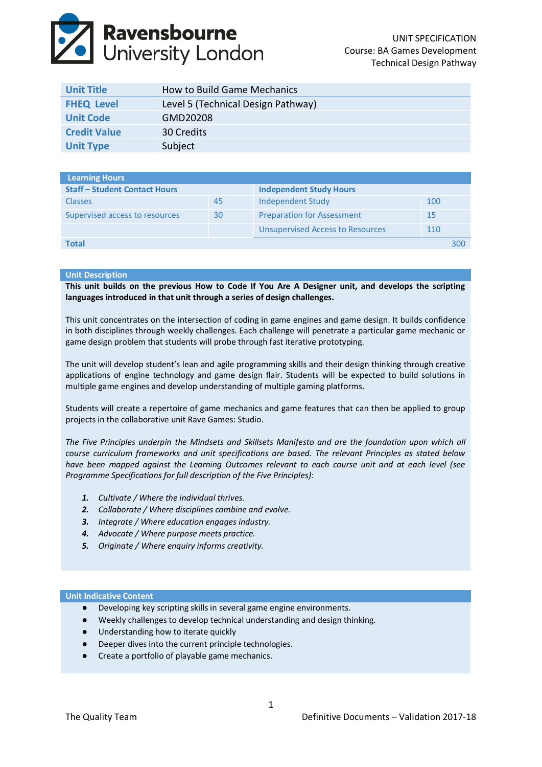# **Ravensbourne**<br>University London

| <b>Unit Title</b>   | How to Build Game Mechanics        |
|---------------------|------------------------------------|
| <b>FHEQ Level</b>   | Level 5 (Technical Design Pathway) |
| <b>Unit Code</b>    | GMD20208                           |
| <b>Credit Value</b> | 30 Credits                         |
| <b>Unit Type</b>    | Subject                            |

| Learning Hours                       |    |                                         |     |     |
|--------------------------------------|----|-----------------------------------------|-----|-----|
| <b>Staff - Student Contact Hours</b> |    | <b>Independent Study Hours</b>          |     |     |
| <b>Classes</b>                       | 45 | Independent Study                       | 100 |     |
| Supervised access to resources       | 30 | <b>Preparation for Assessment</b>       | 15  |     |
|                                      |    | <b>Unsupervised Access to Resources</b> | 110 |     |
| <b>Total</b>                         |    |                                         |     | 300 |

# **Unit Description**

**This unit builds on the previous How to Code If You Are A Designer unit, and develops the scripting languages introduced in that unit through a series of design challenges.**

This unit concentrates on the intersection of coding in game engines and game design. It builds confidence in both disciplines through weekly challenges. Each challenge will penetrate a particular game mechanic or game design problem that students will probe through fast iterative prototyping.

The unit will develop student's lean and agile programming skills and their design thinking through creative applications of engine technology and game design flair. Students will be expected to build solutions in multiple game engines and develop understanding of multiple gaming platforms.

Students will create a repertoire of game mechanics and game features that can then be applied to group projects in the collaborative unit Rave Games: Studio.

*The Five Principles underpin the Mindsets and Skillsets Manifesto and are the foundation upon which all course curriculum frameworks and unit specifications are based. The relevant Principles as stated below have been mapped against the Learning Outcomes relevant to each course unit and at each level (see Programme Specifications for full description of the Five Principles):*

- *1. Cultivate / Where the individual thrives.*
- *2. Collaborate / Where disciplines combine and evolve.*
- *3. Integrate / Where education engages industry.*
- *4. Advocate / Where purpose meets practice.*
- *5. Originate / Where enquiry informs creativity.*

## **Unit Indicative Content**

- Developing key scripting skills in several game engine environments.
- Weekly challenges to develop technical understanding and design thinking.
- Understanding how to iterate quickly
- Deeper dives into the current principle technologies.
- Create a portfolio of playable game mechanics.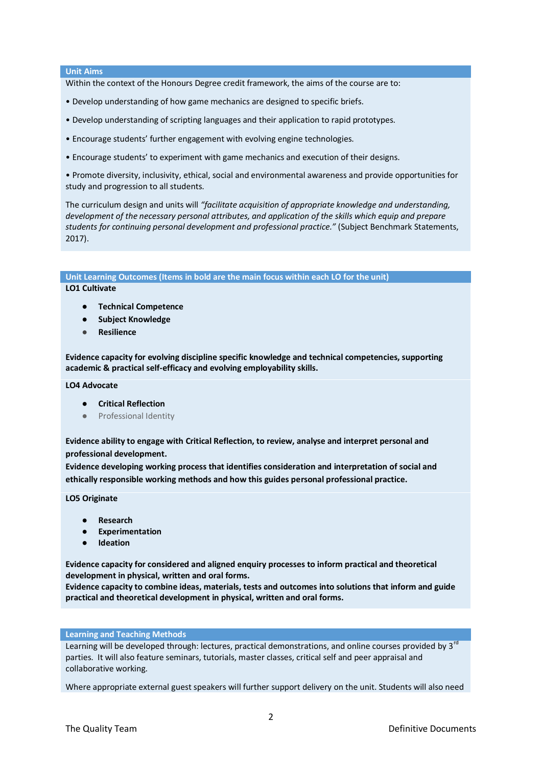### **Unit Aims**

Within the context of the Honours Degree credit framework, the aims of the course are to:

- Develop understanding of how game mechanics are designed to specific briefs.
- Develop understanding of scripting languages and their application to rapid prototypes.
- Encourage students' further engagement with evolving engine technologies.
- Encourage students' to experiment with game mechanics and execution of their designs.

• Promote diversity, inclusivity, ethical, social and environmental awareness and provide opportunities for study and progression to all students.

The curriculum design and units will *"facilitate acquisition of appropriate knowledge and understanding, development of the necessary personal attributes, and application of the skills which equip and prepare students for continuing personal development and professional practice."* (Subject Benchmark Statements, 2017).

**Unit Learning Outcomes (Items in bold are the main focus within each LO for the unit)**

**LO1 Cultivate**

- **Technical Competence**
- **Subject Knowledge**
- **Resilience**

**Evidence capacity for evolving discipline specific knowledge and technical competencies, supporting academic & practical self-efficacy and evolving employability skills.**

**LO4 Advocate**

- **Critical Reflection**
- Professional Identity

**Evidence ability to engage with Critical Reflection, to review, analyse and interpret personal and professional development.**

**Evidence developing working process that identifies consideration and interpretation of social and ethically responsible working methods and how this guides personal professional practice.**

**LO5 Originate**

- **Research**
- **Experimentation**
- **Ideation**

**Evidence capacity for considered and aligned enquiry processes to inform practical and theoretical development in physical, written and oral forms.**

**Evidence capacity to combine ideas, materials, tests and outcomes into solutions that inform and guide practical and theoretical development in physical, written and oral forms.**

# **Learning and Teaching Methods**

Learning will be developed through: lectures, practical demonstrations, and online courses provided by 3<sup>rd</sup> parties. It will also feature seminars, tutorials, master classes, critical self and peer appraisal and collaborative working.

Where appropriate external guest speakers will further support delivery on the unit. Students will also need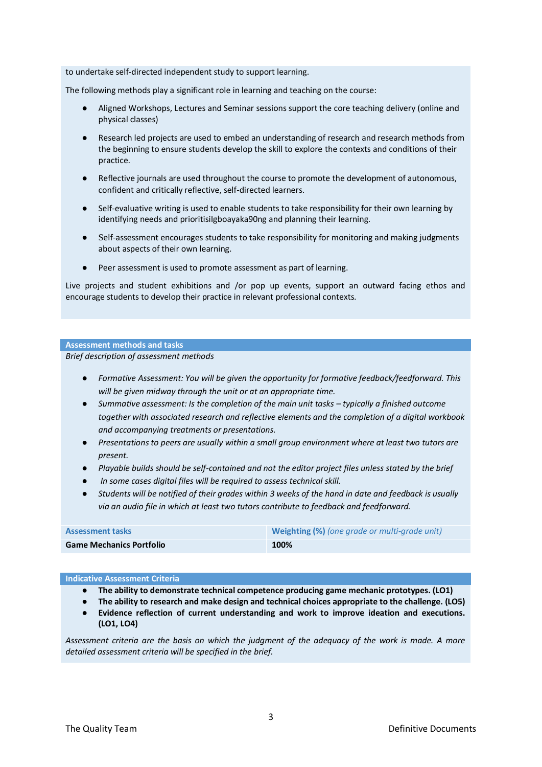to undertake self‐directed independent study to support learning.

The following methods play a significant role in learning and teaching on the course:

- Aligned Workshops, Lectures and Seminar sessions support the core teaching delivery (online and physical classes)
- Research led projects are used to embed an understanding of research and research methods from the beginning to ensure students develop the skill to explore the contexts and conditions of their practice.
- Reflective journals are used throughout the course to promote the development of autonomous, confident and critically reflective, self‐directed learners.
- Self-evaluative writing is used to enable students to take responsibility for their own learning by identifying needs and prioritisiIgboayaka90ng and planning their learning.
- Self-assessment encourages students to take responsibility for monitoring and making judgments about aspects of their own learning.
- Peer assessment is used to promote assessment as part of learning.

Live projects and student exhibitions and /or pop up events, support an outward facing ethos and encourage students to develop their practice in relevant professional contexts.

#### **Assessment methods and tasks**

*Brief description of assessment methods*

- *Formative Assessment: You will be given the opportunity for formative feedback/feedforward. This will be given midway through the unit or at an appropriate time.*
- Summative assessment: Is the completion of the main unit tasks typically a finished outcome *together with associated research and reflective elements and the completion of a digital workbook and accompanying treatments or presentations.*
- *Presentations to peers are usually within a small group environment where at least two tutors are present.*
- *Playable builds should be self-contained and not the editor project files unless stated by the brief*
- In some cases digital files will be required to assess technical skill.
- *Students will be notified of their grades within 3 weeks of the hand in date and feedback is usually via an audio file in which at least two tutors contribute to feedback and feedforward.*

| <b>Assessment tasks</b>         | <b>Weighting (%)</b> (one grade or multi-grade unit) |
|---------------------------------|------------------------------------------------------|
| <b>Game Mechanics Portfolio</b> | 100%                                                 |

#### **Indicative Assessment Criteria**

- **The ability to demonstrate technical competence producing game mechanic prototypes. (LO1)**
- **The ability to research and make design and technical choices appropriate to the challenge. (LO5)**
- **Evidence reflection of current understanding and work to improve ideation and executions. (LO1, LO4)**

*Assessment criteria are the basis on which the judgment of the adequacy of the work is made. A more detailed assessment criteria will be specified in the brief.*